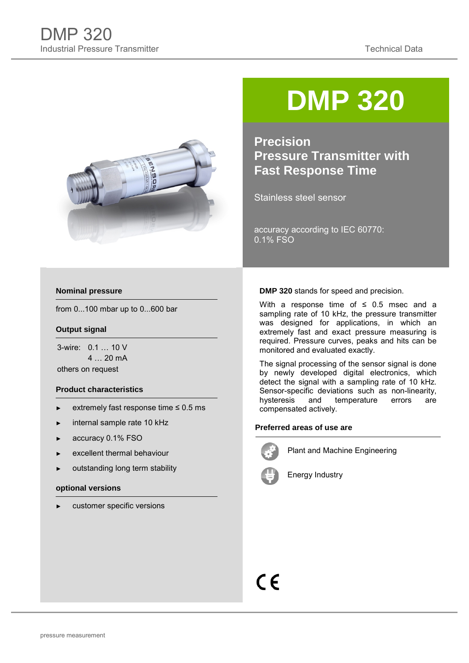

# **DMP 320**

**Precision Pressure Transmitter with Fast Response Time**

Stainless steel sensor

accuracy according to IEC 60770: 0.1% FSO

### **Nominal pressure**

from 0...100 mbar up to 0...600 bar

### **Output signal**

3-wire: 0.1 … 10 V 4 … 20 mA others on request

### **Product characteristics**

- extremely fast response time  $\leq 0.5$  ms
- ► internal sample rate 10 kHz
- ► accuracy 0.1% FSO
- excellent thermal behaviour
- outstanding long term stability

#### **optional versions**

customer specific versions

#### **DMP 320** stands for speed and precision.

With a response time of  $\leq$  0.5 msec and a sampling rate of 10 kHz, the pressure transmitter was designed for applications, in which an extremely fast and exact pressure measuring is required. Pressure curves, peaks and hits can be monitored and evaluated exactly.

The signal processing of the sensor signal is done by newly developed digital electronics, which detect the signal with a sampling rate of 10 kHz. Sensor-specific deviations such as non-linearity,<br>hysteresis and temperature errors are temperature errors are compensated actively.

### **Preferred areas of use are**



Plant and Machine Engineering



Energy Industry

## $\epsilon$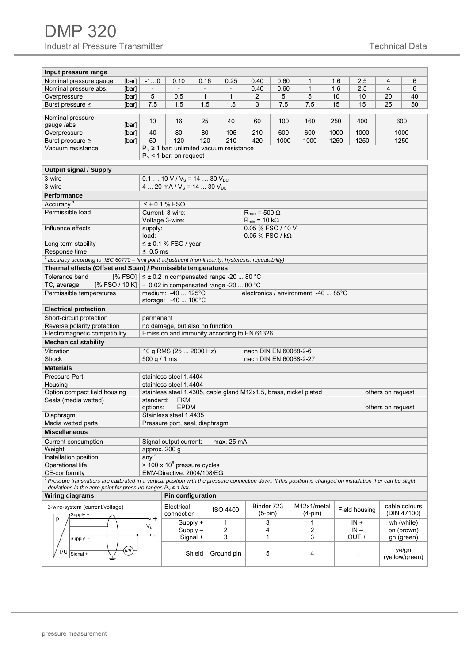| Input pressure range<br>Nominal pressure gauge<br>$-10$<br>6<br>[bar]<br>0.10<br>0.16<br>0.25<br>0.40<br>0.60<br>1<br>1.6<br>2.5<br>4<br>$\mathbf{1}$<br>1.6<br>2.5<br>4<br>6<br>Nominal pressure abs.<br>[bar]<br>0.40<br>0.60<br>$\blacksquare$<br>$\overline{\phantom{a}}$<br>$\overline{\phantom{a}}$<br>$\overline{\phantom{a}}$<br>5<br>$\mathbf{1}$<br>$\mathbf{1}$<br>5<br>5<br>10<br>10<br>20<br>40<br>Overpressure<br>0.5<br>$\overline{2}$<br>[bar]<br>7.5<br>1.5<br>7.5<br>7.5<br>15<br>25<br>50<br>Burst pressure ≥<br>1.5<br>1.5<br>3<br>15<br>[bar]<br>Nominal pressure<br>10<br>400<br>600<br>16<br>25<br>40<br>60<br>100<br>160<br>250<br>gauge /abs<br>[bar]<br>600<br>Overpressure<br>40<br>80<br>80<br>105<br>210<br>600<br>1000<br>1000<br>1000<br>[bar]<br>120<br>120<br>210<br>420<br>50<br>1000<br>1000<br>1250<br>1250<br>1250<br>Burst pressure ≥<br>[bar]<br>$P_N \ge 1$ bar: unlimited vacuum resistance<br>Vacuum resistance<br>$P_N$ < 1 bar: on request<br><b>Output signal / Supply</b><br>3-wire<br>$0.1$ 10 V / V <sub>s</sub> = 14  30 V <sub>pc</sub><br>3-wire<br>4  20 mA / $V_s$ = 14  30 $V_{DC}$ |                                                    |  |  |  |  |  |  |  |  |  |  |  |  |  |
|-------------------------------------------------------------------------------------------------------------------------------------------------------------------------------------------------------------------------------------------------------------------------------------------------------------------------------------------------------------------------------------------------------------------------------------------------------------------------------------------------------------------------------------------------------------------------------------------------------------------------------------------------------------------------------------------------------------------------------------------------------------------------------------------------------------------------------------------------------------------------------------------------------------------------------------------------------------------------------------------------------------------------------------------------------------------------------------------------------------------------------------------|----------------------------------------------------|--|--|--|--|--|--|--|--|--|--|--|--|--|
|                                                                                                                                                                                                                                                                                                                                                                                                                                                                                                                                                                                                                                                                                                                                                                                                                                                                                                                                                                                                                                                                                                                                           |                                                    |  |  |  |  |  |  |  |  |  |  |  |  |  |
|                                                                                                                                                                                                                                                                                                                                                                                                                                                                                                                                                                                                                                                                                                                                                                                                                                                                                                                                                                                                                                                                                                                                           |                                                    |  |  |  |  |  |  |  |  |  |  |  |  |  |
|                                                                                                                                                                                                                                                                                                                                                                                                                                                                                                                                                                                                                                                                                                                                                                                                                                                                                                                                                                                                                                                                                                                                           |                                                    |  |  |  |  |  |  |  |  |  |  |  |  |  |
|                                                                                                                                                                                                                                                                                                                                                                                                                                                                                                                                                                                                                                                                                                                                                                                                                                                                                                                                                                                                                                                                                                                                           |                                                    |  |  |  |  |  |  |  |  |  |  |  |  |  |
|                                                                                                                                                                                                                                                                                                                                                                                                                                                                                                                                                                                                                                                                                                                                                                                                                                                                                                                                                                                                                                                                                                                                           |                                                    |  |  |  |  |  |  |  |  |  |  |  |  |  |
|                                                                                                                                                                                                                                                                                                                                                                                                                                                                                                                                                                                                                                                                                                                                                                                                                                                                                                                                                                                                                                                                                                                                           |                                                    |  |  |  |  |  |  |  |  |  |  |  |  |  |
|                                                                                                                                                                                                                                                                                                                                                                                                                                                                                                                                                                                                                                                                                                                                                                                                                                                                                                                                                                                                                                                                                                                                           |                                                    |  |  |  |  |  |  |  |  |  |  |  |  |  |
|                                                                                                                                                                                                                                                                                                                                                                                                                                                                                                                                                                                                                                                                                                                                                                                                                                                                                                                                                                                                                                                                                                                                           |                                                    |  |  |  |  |  |  |  |  |  |  |  |  |  |
|                                                                                                                                                                                                                                                                                                                                                                                                                                                                                                                                                                                                                                                                                                                                                                                                                                                                                                                                                                                                                                                                                                                                           |                                                    |  |  |  |  |  |  |  |  |  |  |  |  |  |
|                                                                                                                                                                                                                                                                                                                                                                                                                                                                                                                                                                                                                                                                                                                                                                                                                                                                                                                                                                                                                                                                                                                                           |                                                    |  |  |  |  |  |  |  |  |  |  |  |  |  |
|                                                                                                                                                                                                                                                                                                                                                                                                                                                                                                                                                                                                                                                                                                                                                                                                                                                                                                                                                                                                                                                                                                                                           |                                                    |  |  |  |  |  |  |  |  |  |  |  |  |  |
|                                                                                                                                                                                                                                                                                                                                                                                                                                                                                                                                                                                                                                                                                                                                                                                                                                                                                                                                                                                                                                                                                                                                           |                                                    |  |  |  |  |  |  |  |  |  |  |  |  |  |
|                                                                                                                                                                                                                                                                                                                                                                                                                                                                                                                                                                                                                                                                                                                                                                                                                                                                                                                                                                                                                                                                                                                                           |                                                    |  |  |  |  |  |  |  |  |  |  |  |  |  |
|                                                                                                                                                                                                                                                                                                                                                                                                                                                                                                                                                                                                                                                                                                                                                                                                                                                                                                                                                                                                                                                                                                                                           |                                                    |  |  |  |  |  |  |  |  |  |  |  |  |  |
| <b>Performance</b>                                                                                                                                                                                                                                                                                                                                                                                                                                                                                                                                                                                                                                                                                                                                                                                                                                                                                                                                                                                                                                                                                                                        |                                                    |  |  |  |  |  |  |  |  |  |  |  |  |  |
|                                                                                                                                                                                                                                                                                                                                                                                                                                                                                                                                                                                                                                                                                                                                                                                                                                                                                                                                                                                                                                                                                                                                           |                                                    |  |  |  |  |  |  |  |  |  |  |  |  |  |
| Accuracy <sup>1</sup><br>$\leq \pm 0.1$ % FSO                                                                                                                                                                                                                                                                                                                                                                                                                                                                                                                                                                                                                                                                                                                                                                                                                                                                                                                                                                                                                                                                                             |                                                    |  |  |  |  |  |  |  |  |  |  |  |  |  |
| Permissible load<br>Current 3-wire:<br>$R_{max}$ = 500 $\Omega$                                                                                                                                                                                                                                                                                                                                                                                                                                                                                                                                                                                                                                                                                                                                                                                                                                                                                                                                                                                                                                                                           |                                                    |  |  |  |  |  |  |  |  |  |  |  |  |  |
| Voltage 3-wire:<br>$R_{min}$ = 10 k $\Omega$                                                                                                                                                                                                                                                                                                                                                                                                                                                                                                                                                                                                                                                                                                                                                                                                                                                                                                                                                                                                                                                                                              |                                                    |  |  |  |  |  |  |  |  |  |  |  |  |  |
| 0.05 % FSO / 10 V<br>Influence effects<br>supply:                                                                                                                                                                                                                                                                                                                                                                                                                                                                                                                                                                                                                                                                                                                                                                                                                                                                                                                                                                                                                                                                                         |                                                    |  |  |  |  |  |  |  |  |  |  |  |  |  |
| load:<br>$0.05\%$ FSO / k $\Omega$                                                                                                                                                                                                                                                                                                                                                                                                                                                                                                                                                                                                                                                                                                                                                                                                                                                                                                                                                                                                                                                                                                        |                                                    |  |  |  |  |  |  |  |  |  |  |  |  |  |
| Response time<br>$\leq 0.5$ ms                                                                                                                                                                                                                                                                                                                                                                                                                                                                                                                                                                                                                                                                                                                                                                                                                                                                                                                                                                                                                                                                                                            | $\leq \pm 0.1$ % FSO / year<br>Long term stability |  |  |  |  |  |  |  |  |  |  |  |  |  |
|                                                                                                                                                                                                                                                                                                                                                                                                                                                                                                                                                                                                                                                                                                                                                                                                                                                                                                                                                                                                                                                                                                                                           |                                                    |  |  |  |  |  |  |  |  |  |  |  |  |  |
| accuracy according to IEC 60770 - limit point adjustment (non-linearity, hysteresis, repeatability)                                                                                                                                                                                                                                                                                                                                                                                                                                                                                                                                                                                                                                                                                                                                                                                                                                                                                                                                                                                                                                       |                                                    |  |  |  |  |  |  |  |  |  |  |  |  |  |
| Thermal effects (Offset and Span) / Permissible temperatures                                                                                                                                                                                                                                                                                                                                                                                                                                                                                                                                                                                                                                                                                                                                                                                                                                                                                                                                                                                                                                                                              |                                                    |  |  |  |  |  |  |  |  |  |  |  |  |  |
| [% FSO] $\leq \pm 0.2$ in compensated range -20  80 °C<br>Tolerance band                                                                                                                                                                                                                                                                                                                                                                                                                                                                                                                                                                                                                                                                                                                                                                                                                                                                                                                                                                                                                                                                  |                                                    |  |  |  |  |  |  |  |  |  |  |  |  |  |
| [% FSO / 10 K] $\pm$ 0.02 in compensated range -20  80 °C<br>TC, average                                                                                                                                                                                                                                                                                                                                                                                                                                                                                                                                                                                                                                                                                                                                                                                                                                                                                                                                                                                                                                                                  |                                                    |  |  |  |  |  |  |  |  |  |  |  |  |  |
| Permissible temperatures<br>medium: -40  125°C<br>electronics / environment: -40  85°C                                                                                                                                                                                                                                                                                                                                                                                                                                                                                                                                                                                                                                                                                                                                                                                                                                                                                                                                                                                                                                                    |                                                    |  |  |  |  |  |  |  |  |  |  |  |  |  |
| storage: $-40$ $100^{\circ}$ C                                                                                                                                                                                                                                                                                                                                                                                                                                                                                                                                                                                                                                                                                                                                                                                                                                                                                                                                                                                                                                                                                                            |                                                    |  |  |  |  |  |  |  |  |  |  |  |  |  |
| <b>Electrical protection</b>                                                                                                                                                                                                                                                                                                                                                                                                                                                                                                                                                                                                                                                                                                                                                                                                                                                                                                                                                                                                                                                                                                              |                                                    |  |  |  |  |  |  |  |  |  |  |  |  |  |
| Short-circuit protection<br>permanent                                                                                                                                                                                                                                                                                                                                                                                                                                                                                                                                                                                                                                                                                                                                                                                                                                                                                                                                                                                                                                                                                                     |                                                    |  |  |  |  |  |  |  |  |  |  |  |  |  |
| no damage, but also no function<br>Reverse polarity protection                                                                                                                                                                                                                                                                                                                                                                                                                                                                                                                                                                                                                                                                                                                                                                                                                                                                                                                                                                                                                                                                            |                                                    |  |  |  |  |  |  |  |  |  |  |  |  |  |
| Emission and immunity according to EN 61326<br>Electromagnetic compatibility                                                                                                                                                                                                                                                                                                                                                                                                                                                                                                                                                                                                                                                                                                                                                                                                                                                                                                                                                                                                                                                              |                                                    |  |  |  |  |  |  |  |  |  |  |  |  |  |
| <b>Mechanical stability</b>                                                                                                                                                                                                                                                                                                                                                                                                                                                                                                                                                                                                                                                                                                                                                                                                                                                                                                                                                                                                                                                                                                               |                                                    |  |  |  |  |  |  |  |  |  |  |  |  |  |
| Vibration<br>10 g RMS (25  2000 Hz)<br>nach DIN EN 60068-2-6                                                                                                                                                                                                                                                                                                                                                                                                                                                                                                                                                                                                                                                                                                                                                                                                                                                                                                                                                                                                                                                                              |                                                    |  |  |  |  |  |  |  |  |  |  |  |  |  |
| Shock<br>500 g / 1 ms<br>nach DIN EN 60068-2-27                                                                                                                                                                                                                                                                                                                                                                                                                                                                                                                                                                                                                                                                                                                                                                                                                                                                                                                                                                                                                                                                                           |                                                    |  |  |  |  |  |  |  |  |  |  |  |  |  |
| Materials                                                                                                                                                                                                                                                                                                                                                                                                                                                                                                                                                                                                                                                                                                                                                                                                                                                                                                                                                                                                                                                                                                                                 |                                                    |  |  |  |  |  |  |  |  |  |  |  |  |  |
| Pressure Port<br>stainless steel 1.4404                                                                                                                                                                                                                                                                                                                                                                                                                                                                                                                                                                                                                                                                                                                                                                                                                                                                                                                                                                                                                                                                                                   |                                                    |  |  |  |  |  |  |  |  |  |  |  |  |  |
| Housing<br>stainless steel 1.4404                                                                                                                                                                                                                                                                                                                                                                                                                                                                                                                                                                                                                                                                                                                                                                                                                                                                                                                                                                                                                                                                                                         |                                                    |  |  |  |  |  |  |  |  |  |  |  |  |  |
| Option compact field housing<br>stainless steel 1.4305, cable gland M12x1,5, brass, nickel plated<br>others on request                                                                                                                                                                                                                                                                                                                                                                                                                                                                                                                                                                                                                                                                                                                                                                                                                                                                                                                                                                                                                    |                                                    |  |  |  |  |  |  |  |  |  |  |  |  |  |
| <b>FKM</b><br>Seals (media wetted)<br>standard:                                                                                                                                                                                                                                                                                                                                                                                                                                                                                                                                                                                                                                                                                                                                                                                                                                                                                                                                                                                                                                                                                           |                                                    |  |  |  |  |  |  |  |  |  |  |  |  |  |
| <b>EPDM</b><br>options:<br>others on request                                                                                                                                                                                                                                                                                                                                                                                                                                                                                                                                                                                                                                                                                                                                                                                                                                                                                                                                                                                                                                                                                              |                                                    |  |  |  |  |  |  |  |  |  |  |  |  |  |
| Diaphragm<br>Stainless steel 1.4435                                                                                                                                                                                                                                                                                                                                                                                                                                                                                                                                                                                                                                                                                                                                                                                                                                                                                                                                                                                                                                                                                                       |                                                    |  |  |  |  |  |  |  |  |  |  |  |  |  |
| Media wetted parts<br>Pressure port, seal, diaphragm                                                                                                                                                                                                                                                                                                                                                                                                                                                                                                                                                                                                                                                                                                                                                                                                                                                                                                                                                                                                                                                                                      |                                                    |  |  |  |  |  |  |  |  |  |  |  |  |  |
| <b>Miscellaneous</b>                                                                                                                                                                                                                                                                                                                                                                                                                                                                                                                                                                                                                                                                                                                                                                                                                                                                                                                                                                                                                                                                                                                      |                                                    |  |  |  |  |  |  |  |  |  |  |  |  |  |
| Current consumption<br>Signal output current:<br>max. 25 mA                                                                                                                                                                                                                                                                                                                                                                                                                                                                                                                                                                                                                                                                                                                                                                                                                                                                                                                                                                                                                                                                               |                                                    |  |  |  |  |  |  |  |  |  |  |  |  |  |
| Weight<br>approx. 200 g                                                                                                                                                                                                                                                                                                                                                                                                                                                                                                                                                                                                                                                                                                                                                                                                                                                                                                                                                                                                                                                                                                                   |                                                    |  |  |  |  |  |  |  |  |  |  |  |  |  |
| any <sup>2</sup><br>Installation position                                                                                                                                                                                                                                                                                                                                                                                                                                                                                                                                                                                                                                                                                                                                                                                                                                                                                                                                                                                                                                                                                                 |                                                    |  |  |  |  |  |  |  |  |  |  |  |  |  |
| $>$ 100 x 10 $6$ pressure cycles<br>Operational life                                                                                                                                                                                                                                                                                                                                                                                                                                                                                                                                                                                                                                                                                                                                                                                                                                                                                                                                                                                                                                                                                      |                                                    |  |  |  |  |  |  |  |  |  |  |  |  |  |
| CE-conformity<br>EMV-Directive: 2004/108/EG                                                                                                                                                                                                                                                                                                                                                                                                                                                                                                                                                                                                                                                                                                                                                                                                                                                                                                                                                                                                                                                                                               |                                                    |  |  |  |  |  |  |  |  |  |  |  |  |  |
| $^2$ Pressure transmitters are calibrated in a vertical position with the pressure connection down. If this position is changed on installation ther can be slight                                                                                                                                                                                                                                                                                                                                                                                                                                                                                                                                                                                                                                                                                                                                                                                                                                                                                                                                                                        |                                                    |  |  |  |  |  |  |  |  |  |  |  |  |  |
|                                                                                                                                                                                                                                                                                                                                                                                                                                                                                                                                                                                                                                                                                                                                                                                                                                                                                                                                                                                                                                                                                                                                           |                                                    |  |  |  |  |  |  |  |  |  |  |  |  |  |
| deviations in the zero point for pressure ranges $P_N \leq 1$ bar.                                                                                                                                                                                                                                                                                                                                                                                                                                                                                                                                                                                                                                                                                                                                                                                                                                                                                                                                                                                                                                                                        |                                                    |  |  |  |  |  |  |  |  |  |  |  |  |  |
| Pin configuration<br><b>Wiring diagrams</b>                                                                                                                                                                                                                                                                                                                                                                                                                                                                                                                                                                                                                                                                                                                                                                                                                                                                                                                                                                                                                                                                                               |                                                    |  |  |  |  |  |  |  |  |  |  |  |  |  |
| Binder 723<br>M12x1/metal<br>cable colours<br>Electrical<br>3-wire-system (current/voltage)                                                                                                                                                                                                                                                                                                                                                                                                                                                                                                                                                                                                                                                                                                                                                                                                                                                                                                                                                                                                                                               |                                                    |  |  |  |  |  |  |  |  |  |  |  |  |  |
| ISO 4400<br>Field housing<br>(DIN 47100)<br>$(5-pin)$<br>$(4-pin)$<br>connection<br>Supply +                                                                                                                                                                                                                                                                                                                                                                                                                                                                                                                                                                                                                                                                                                                                                                                                                                                                                                                                                                                                                                              |                                                    |  |  |  |  |  |  |  |  |  |  |  |  |  |
| p<br>$\circ$ +<br>3<br>$\mathbf{1}$<br>$IN +$<br>wh (white)<br>Supply +<br>1                                                                                                                                                                                                                                                                                                                                                                                                                                                                                                                                                                                                                                                                                                                                                                                                                                                                                                                                                                                                                                                              |                                                    |  |  |  |  |  |  |  |  |  |  |  |  |  |
| $V_{s}$<br>2<br>2<br>Supply-<br>4<br>$IN -$<br>bn (brown)                                                                                                                                                                                                                                                                                                                                                                                                                                                                                                                                                                                                                                                                                                                                                                                                                                                                                                                                                                                                                                                                                 |                                                    |  |  |  |  |  |  |  |  |  |  |  |  |  |
| $\circ$<br>3<br>Signal +<br>3<br>1<br>OUT +<br>gn (green)<br>Supply $-$                                                                                                                                                                                                                                                                                                                                                                                                                                                                                                                                                                                                                                                                                                                                                                                                                                                                                                                                                                                                                                                                   |                                                    |  |  |  |  |  |  |  |  |  |  |  |  |  |
| (A/V<br>ye/gn<br>I/U<br>Shield<br>Ground pin<br>5<br>Signal +<br>4<br>$\pm$                                                                                                                                                                                                                                                                                                                                                                                                                                                                                                                                                                                                                                                                                                                                                                                                                                                                                                                                                                                                                                                               |                                                    |  |  |  |  |  |  |  |  |  |  |  |  |  |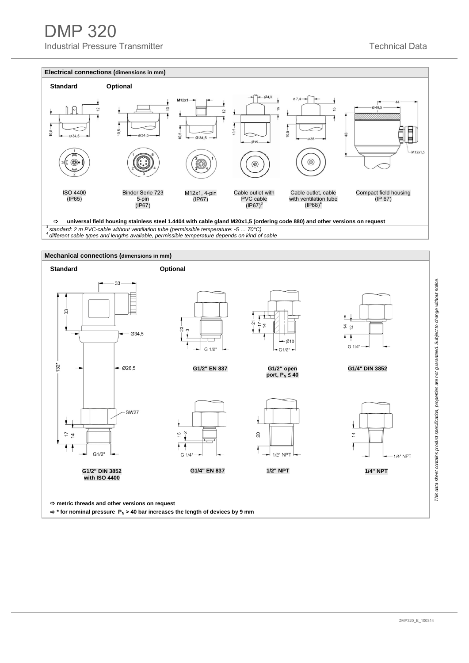### DMP 320

Industrial Pressure Transmitter **The Contract of Contract Contract Contract Contract Contract Contract Contract Contract Contract Contract Contract Contract Contract Contract Contract Contract Contract Contract Contract Co** 



*<sup>3</sup> standard: 2 m PVC-cable without ventilation tube (permissible temperature: -5 … 70°C) 4 different cable types and lengths available, permissible temperature depends on kind of cable*

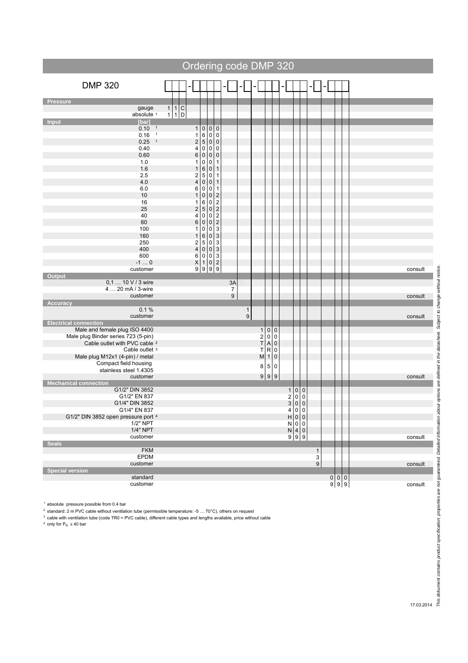|                                                            |                                                             | Ordering code DMP 320                             |                                                         |                                                                                                                                                         |                  |                                  |                         |              |                            |                                                                                                                                                                 |  |                       |                                                             |         |
|------------------------------------------------------------|-------------------------------------------------------------|---------------------------------------------------|---------------------------------------------------------|---------------------------------------------------------------------------------------------------------------------------------------------------------|------------------|----------------------------------|-------------------------|--------------|----------------------------|-----------------------------------------------------------------------------------------------------------------------------------------------------------------|--|-----------------------|-------------------------------------------------------------|---------|
| <b>DMP 320</b>                                             |                                                             |                                                   |                                                         |                                                                                                                                                         |                  |                                  |                         |              |                            |                                                                                                                                                                 |  |                       |                                                             |         |
| <b>Pressure</b>                                            |                                                             |                                                   |                                                         |                                                                                                                                                         |                  |                                  |                         |              |                            |                                                                                                                                                                 |  |                       |                                                             |         |
| gauge                                                      |                                                             |                                                   |                                                         |                                                                                                                                                         |                  |                                  |                         |              |                            |                                                                                                                                                                 |  |                       |                                                             |         |
| absolute 1                                                 | $\begin{array}{c c c}\n1 & 1 & C \\ 1 & 1 & D\n\end{array}$ |                                                   |                                                         |                                                                                                                                                         |                  |                                  |                         |              |                            |                                                                                                                                                                 |  |                       |                                                             |         |
| <b>Input</b><br>[bar]<br>$0.10 - 1$                        |                                                             | $\mathbf{1}$                                      | $\pmb{0}$                                               | $\,0\,$                                                                                                                                                 |                  |                                  |                         |              |                            |                                                                                                                                                                 |  |                       |                                                             |         |
| $0.16 - 1$                                                 |                                                             | 1                                                 | $\begin{array}{c} 0 \\ 6 \\ 5 \end{array}$<br>$\pmb{0}$ | $\pmb{0}$                                                                                                                                               |                  |                                  |                         |              |                            |                                                                                                                                                                 |  |                       |                                                             |         |
| $\overline{1}$<br>0.25                                     |                                                             | $\overline{\mathbf{c}}$                           |                                                         | $0\vert 0$                                                                                                                                              |                  |                                  |                         |              |                            |                                                                                                                                                                 |  |                       |                                                             |         |
| 0.40                                                       |                                                             | 4                                                 | $\pmb{0}$                                               |                                                                                                                                                         |                  |                                  |                         |              |                            |                                                                                                                                                                 |  |                       |                                                             |         |
| 0.60                                                       |                                                             | 6                                                 | $\begin{array}{c} 0 \\ 0 \end{array}$<br>$\pmb{0}$      | $\begin{array}{c} 0 \\ 0 \\ 1 \end{array}$                                                                                                              |                  |                                  |                         |              |                            |                                                                                                                                                                 |  |                       |                                                             |         |
| 1.0<br>1.6                                                 |                                                             | 1<br>$\mathbf{1}$                                 | 0<br>$\pmb{0}$                                          | $\mathbf{1}$                                                                                                                                            |                  |                                  |                         |              |                            |                                                                                                                                                                 |  |                       |                                                             |         |
| 2.5                                                        |                                                             | $\boldsymbol{2}$                                  | 6500650<br>0                                            | $\overline{1}$                                                                                                                                          |                  |                                  |                         |              |                            |                                                                                                                                                                 |  |                       |                                                             |         |
| 4.0                                                        |                                                             | 4                                                 | $\pmb{0}$                                               | $\mathbf{1}$                                                                                                                                            |                  |                                  |                         |              |                            |                                                                                                                                                                 |  |                       |                                                             |         |
| 6.0                                                        |                                                             | 6                                                 | 0                                                       | $\overline{1}$                                                                                                                                          |                  |                                  |                         |              |                            |                                                                                                                                                                 |  |                       |                                                             |         |
| $10$                                                       |                                                             | $\mathbf{1}$                                      |                                                         |                                                                                                                                                         |                  |                                  |                         |              |                            |                                                                                                                                                                 |  |                       |                                                             |         |
| 16<br>25                                                   |                                                             | 1<br>$\overline{\mathbf{c}}$                      |                                                         |                                                                                                                                                         |                  |                                  |                         |              |                            |                                                                                                                                                                 |  |                       |                                                             |         |
| 40                                                         |                                                             | 4                                                 |                                                         |                                                                                                                                                         |                  |                                  |                         |              |                            |                                                                                                                                                                 |  |                       |                                                             |         |
| 60                                                         |                                                             | $\,6$                                             |                                                         |                                                                                                                                                         |                  |                                  |                         |              |                            |                                                                                                                                                                 |  |                       |                                                             |         |
| 100                                                        |                                                             | 1                                                 | 000000                                                  |                                                                                                                                                         |                  |                                  |                         |              |                            |                                                                                                                                                                 |  |                       |                                                             |         |
| 160<br>250                                                 |                                                             | $\mathbf{1}$                                      |                                                         |                                                                                                                                                         |                  |                                  |                         |              |                            |                                                                                                                                                                 |  |                       |                                                             |         |
| 400                                                        |                                                             | $\frac{2}{4}$                                     |                                                         |                                                                                                                                                         |                  |                                  |                         |              |                            |                                                                                                                                                                 |  |                       |                                                             |         |
| 600                                                        |                                                             | $\, 6$                                            |                                                         |                                                                                                                                                         |                  |                                  |                         |              |                            |                                                                                                                                                                 |  |                       |                                                             |         |
| $-10$                                                      |                                                             | $\begin{array}{c c}\nX & 1 \\ 9 & 9\n\end{array}$ |                                                         | 0<br>0<br>0<br>0<br>0<br>0<br>0<br>0<br>3<br>3<br>3<br>3<br>2<br>9<br>0<br>2<br>3<br>3<br>3<br>3<br>3<br>3<br>3<br>3<br>3<br>3<br>3<br>3<br>3<br>3<br>3 |                  |                                  |                         |              |                            |                                                                                                                                                                 |  |                       |                                                             |         |
| customer<br>Output                                         |                                                             |                                                   |                                                         |                                                                                                                                                         |                  |                                  |                         |              |                            |                                                                                                                                                                 |  |                       |                                                             | consult |
| 0,1  10 V / 3 wire                                         |                                                             |                                                   |                                                         |                                                                                                                                                         | 3A               |                                  |                         |              |                            |                                                                                                                                                                 |  |                       |                                                             |         |
| 4  20 mA / 3-wire                                          |                                                             |                                                   |                                                         |                                                                                                                                                         | $\overline{7}$   |                                  |                         |              |                            |                                                                                                                                                                 |  |                       |                                                             |         |
| customer                                                   |                                                             |                                                   |                                                         |                                                                                                                                                         | $\boldsymbol{9}$ |                                  |                         |              |                            |                                                                                                                                                                 |  |                       |                                                             | consult |
| <b>Accuracy</b>                                            |                                                             |                                                   |                                                         |                                                                                                                                                         |                  |                                  |                         |              |                            |                                                                                                                                                                 |  |                       |                                                             |         |
| 0.1%<br>customer                                           |                                                             |                                                   |                                                         |                                                                                                                                                         |                  | $\mathbf{1}$<br>$\boldsymbol{9}$ |                         |              |                            |                                                                                                                                                                 |  |                       |                                                             | consult |
| <b>Electrical connection</b>                               |                                                             |                                                   |                                                         |                                                                                                                                                         |                  |                                  |                         |              |                            |                                                                                                                                                                 |  |                       |                                                             |         |
| Male and female plug ISO 4400                              |                                                             |                                                   |                                                         |                                                                                                                                                         |                  |                                  |                         | 100          |                            |                                                                                                                                                                 |  |                       |                                                             |         |
| Male plug Binder series 723 (5-pin)                        |                                                             |                                                   |                                                         |                                                                                                                                                         |                  |                                  | $\overline{\mathbf{c}}$ | $\pmb{0}$    | $\mathbf 0$                |                                                                                                                                                                 |  |                       |                                                             |         |
| Cable outlet with PVC cable <sup>2</sup><br>Cable outlet 3 |                                                             |                                                   |                                                         |                                                                                                                                                         |                  |                                  | $\mathsf T$             | $T$ A<br>T R | $\mathsf 0$                |                                                                                                                                                                 |  |                       |                                                             |         |
| Male plug M12x1 (4-pin) / metal                            |                                                             |                                                   |                                                         |                                                                                                                                                         |                  |                                  |                         | $M$ 1        | $\mathbf 0$<br>$\mathbf 0$ |                                                                                                                                                                 |  |                       |                                                             |         |
| Compact field housing                                      |                                                             |                                                   |                                                         |                                                                                                                                                         |                  |                                  |                         | 8 5          |                            |                                                                                                                                                                 |  |                       |                                                             |         |
| stainless steel 1.4305                                     |                                                             |                                                   |                                                         |                                                                                                                                                         |                  |                                  |                         |              | $\overline{0}$             |                                                                                                                                                                 |  |                       |                                                             |         |
| customer                                                   |                                                             |                                                   |                                                         |                                                                                                                                                         |                  |                                  |                         | 999          |                            |                                                                                                                                                                 |  |                       |                                                             | consult |
| <b>Mechanical connection</b><br>G1/2" DIN 3852             |                                                             |                                                   |                                                         |                                                                                                                                                         |                  |                                  |                         |              |                            |                                                                                                                                                                 |  |                       |                                                             |         |
| G1/2" EN 837                                               |                                                             |                                                   |                                                         |                                                                                                                                                         |                  |                                  |                         |              |                            |                                                                                                                                                                 |  |                       |                                                             |         |
| G1/4" DIN 3852                                             |                                                             |                                                   |                                                         |                                                                                                                                                         |                  |                                  |                         |              |                            |                                                                                                                                                                 |  |                       |                                                             |         |
| G1/4" EN 837                                               |                                                             |                                                   |                                                         |                                                                                                                                                         |                  |                                  |                         |              |                            |                                                                                                                                                                 |  |                       |                                                             |         |
| G1/2" DIN 3852 open pressure port 4<br>1/2" NPT            |                                                             |                                                   |                                                         |                                                                                                                                                         |                  |                                  |                         |              |                            |                                                                                                                                                                 |  |                       |                                                             |         |
| 1/4" NPT                                                   |                                                             |                                                   |                                                         |                                                                                                                                                         |                  |                                  |                         |              |                            |                                                                                                                                                                 |  |                       |                                                             |         |
| customer                                                   |                                                             |                                                   |                                                         |                                                                                                                                                         |                  |                                  |                         |              |                            | $\begin{array}{c c} 1 & 0 & 0 \\ 2 & 0 & 0 \\ 3 & 0 & 0 \\ 4 & 0 & 0 \\ 1 & 0 & 0 \\ N & 0 & 0 \\ N & 4 & 0 \\ N & 4 & 0 \\ N & 4 & 0 \\ 9 & 9 & 9 \end{array}$ |  |                       |                                                             | consult |
| <b>Seals</b>                                               |                                                             |                                                   |                                                         |                                                                                                                                                         |                  |                                  |                         |              |                            |                                                                                                                                                                 |  |                       |                                                             |         |
| <b>FKM</b><br><b>EPDM</b>                                  |                                                             |                                                   |                                                         |                                                                                                                                                         |                  |                                  |                         |              |                            |                                                                                                                                                                 |  | $\mathbf{1}$          |                                                             |         |
| customer                                                   |                                                             |                                                   |                                                         |                                                                                                                                                         |                  |                                  |                         |              |                            |                                                                                                                                                                 |  | 3<br>$\boldsymbol{9}$ |                                                             | consult |
| <b>Special version</b>                                     |                                                             |                                                   |                                                         |                                                                                                                                                         |                  |                                  |                         |              |                            |                                                                                                                                                                 |  |                       |                                                             |         |
| standard                                                   |                                                             |                                                   |                                                         |                                                                                                                                                         |                  |                                  |                         |              |                            |                                                                                                                                                                 |  |                       | $\begin{array}{c c c c} 0 & 0 & 0 \\ 9 & 9 & 9 \end{array}$ |         |
| customer                                                   |                                                             |                                                   |                                                         |                                                                                                                                                         |                  |                                  |                         |              |                            |                                                                                                                                                                 |  |                       |                                                             | consult |

 $^1$  absolute pressure possible from 0.4 bar

standard: 2 m PVC cable without ventilation tube (permissible temperature: -5 … 70°C), others on request

<sup>3</sup> cable with ventilation tube (code TR0 = PVC cable), different cable types and lengths available, price without cable

only for  $P_N \leq 40$  bar

*This dokument contains product specification; properties are not guaranteed. Detailed information about options are defined in the datasheet. Subject to change without notice.*